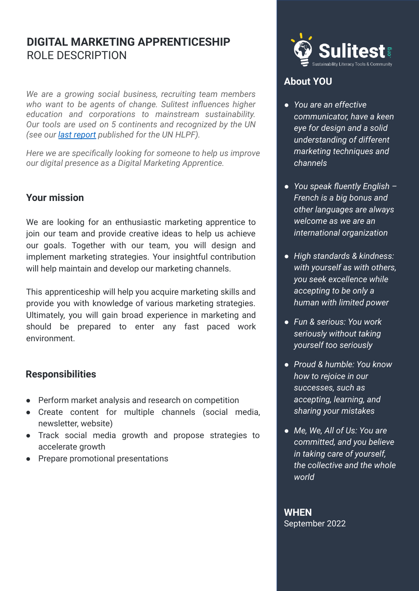# **DIGITAL MARKETING APPRENTICESHIP** ROLE DESCRIPTION

*We are a growing social business, recruiting team members who want to be agents of change. Sulitest influences higher education and corporations to mainstream sustainability. Our tools are used on 5 continents and recognized by the UN (see our [last report](http://www.sulitest.org/hlpf2021) published for the UN HLPF).*

*Here we are specifically looking for someone to help us improve our digital presence as a Digital Marketing Apprentice.*

## **Your mission**

We are looking for an enthusiastic marketing apprentice to join our team and provide creative ideas to help us achieve our goals. Together with our team, you will design and implement marketing strategies. Your insightful contribution will help maintain and develop our marketing channels.

This apprenticeship will help you acquire marketing skills and provide you with knowledge of various marketing strategies. Ultimately, you will gain broad experience in marketing and should be prepared to enter any fast paced work environment.

## **Responsibilities**

- Perform market analysis and research on competition
- Create content for multiple channels (social media, newsletter, website)
- Track social media growth and propose strategies to accelerate growth
- **Prepare promotional presentations**



## **About YOU**

- *● You are an effective communicator, have a keen eye for design and a solid understanding of different marketing techniques and channels*
- *● You speak fluently English – French is a big bonus and other languages are always welcome as we are an international organization*
- *● High standards & kindness: with yourself as with others, you seek excellence while accepting to be only a human with limited power*
- *● Fun & serious: You work seriously without taking yourself too seriously*
- *● Proud & humble: You know how to rejoice in our successes, such as accepting, learning, and sharing your mistakes*
- *● Me, We, All of Us: You are committed, and you believe in taking care of yourself, the collective and the whole world*

#### **WHEN** September 2022